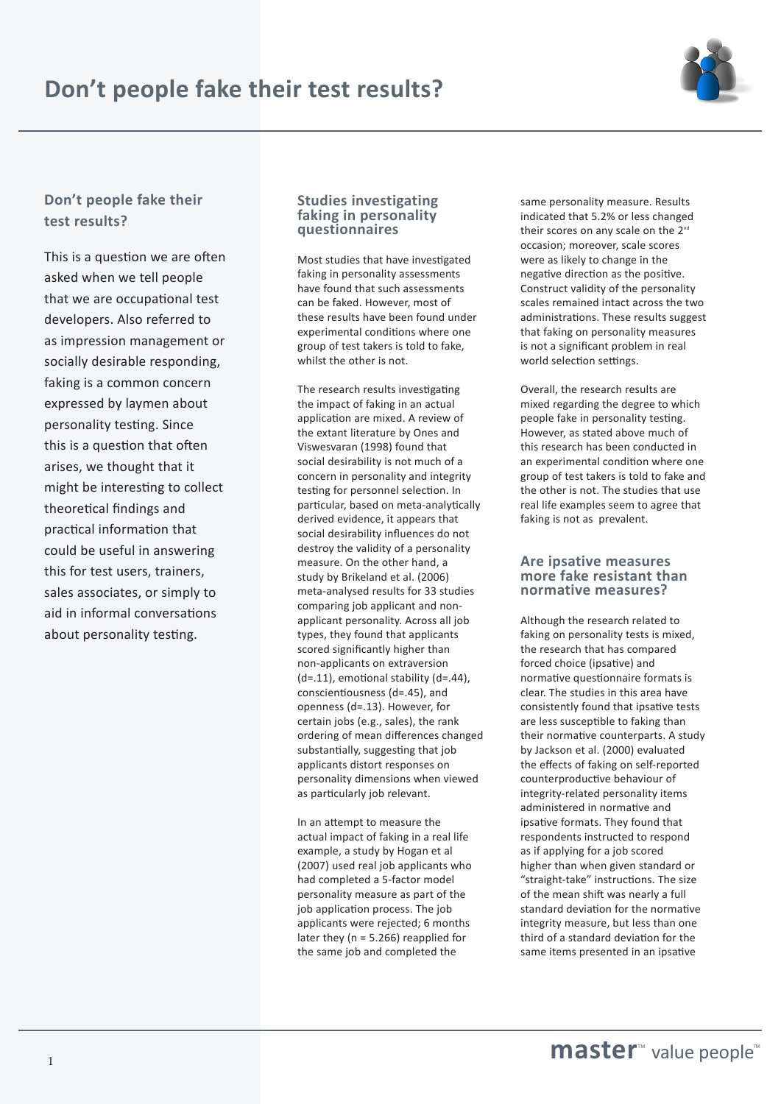



# **Don't people fake their test results?**

This is a question we are often asked when we tell people that we are occupational test developers. Also referred to as impression management or socially desirable responding, faking is a common concern expressed by laymen about personality testing. Since this is a question that often arises, we thought that it might be interesting to collect theoretical findings and practical information that could be useful in answering this for test users, trainers, sales associates, or simply to aid in informal conversations about personality testing.

### **Studies investigating faking in personality questionnaires**

Most studies that have investigated faking in personality assessments have found that such assessments can be faked. However, most of these results have been found under experimental conditions where one group of test takers is told to fake, whilst the other is not.

The research results investigating the impact of faking in an actual application are mixed. A review of the extant literature by Ones and Viswesvaran (1998) found that social desirability is not much of a concern in personality and integrity testing for personnel selection. In particular, based on meta-analytically derived evidence, it appears that social desirability influences do not destroy the validity of a personality measure. On the other hand, a study by Brikeland et al. (2006) meta-analysed results for 33 studies comparing job applicant and nonapplicant personality. Across all job types, they found that applicants scored significantly higher than non-applicants on extraversion (d=.11), emotional stability (d=.44), conscientiousness (d=.45), and openness (d=.13). However, for certain jobs (e.g., sales), the rank ordering of mean differences changed substantially, suggesting that job applicants distort responses on personality dimensions when viewed as particularly job relevant.

In an attempt to measure the actual impact of faking in a real life example, a study by Hogan et al (2007) used real job applicants who had completed a 5-factor model personality measure as part of the job application process. The job applicants were rejected; 6 months later they (n = 5.266) reapplied for the same job and completed the

same personality measure. Results indicated that 5.2% or less changed their scores on any scale on the 2<sup>nd</sup> occasion; moreover, scale scores were as likely to change in the negative direction as the positive. Construct validity of the personality scales remained intact across the two administrations. These results suggest that faking on personality measures is not a significant problem in real world selection settings.

Overall, the research results are mixed regarding the degree to which people fake in personality testing. However, as stated above much of this research has been conducted in an experimental condition where one group of test takers is told to fake and the other is not. The studies that use real life examples seem to agree that faking is not as prevalent.

### **Are ipsative measures more fake resistant than normative measures?**

Although the research related to faking on personality tests is mixed, the research that has compared forced choice (ipsative) and normative questionnaire formats is clear. The studies in this area have consistently found that ipsative tests are less susceptible to faking than their normative counterparts. A study by Jackson et al. (2000) evaluated the effects of faking on self-reported counterproductive behaviour of integrity-related personality items administered in normative and ipsative formats. They found that respondents instructed to respond as if applying for a job scored higher than when given standard or "straight-take" instructions. The size of the mean shift was nearly a full standard deviation for the normative integrity measure, but less than one third of a standard deviation for the same items presented in an ipsative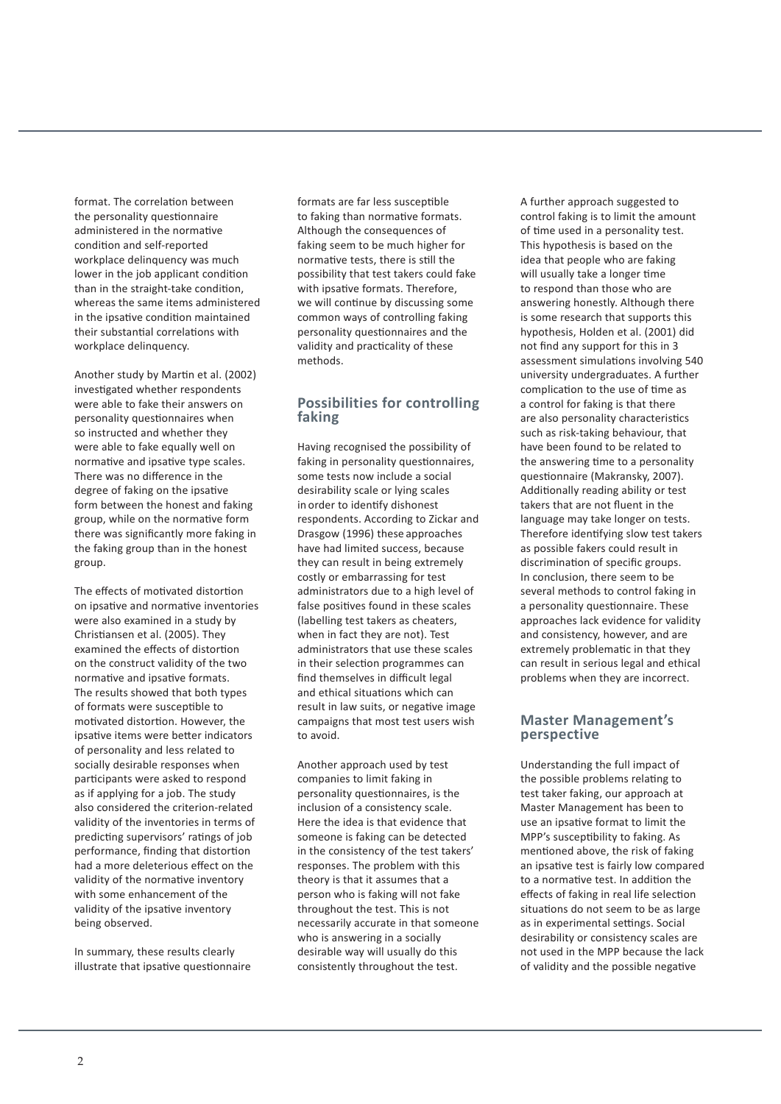format. The correlation between the personality questionnaire administered in the normative condition and self-reported workplace delinquency was much lower in the job applicant condition than in the straight-take condition, whereas the same items administered in the ipsative condition maintained their substantial correlations with workplace delinquency.

Another study by Martin et al. (2002) investigated whether respondents were able to fake their answers on personality questionnaires when so instructed and whether they were able to fake equally well on normative and ipsative type scales. There was no difference in the degree of faking on the ipsative form between the honest and faking group, while on the normative form there was significantly more faking in the faking group than in the honest group.

The effects of motivated distortion on ipsative and normative inventories were also examined in a study by Christiansen et al. (2005). They examined the effects of distortion on the construct validity of the two normative and ipsative formats. The results showed that both types of formats were susceptible to motivated distortion. However, the ipsative items were better indicators of personality and less related to socially desirable responses when participants were asked to respond as if applying for a job. The study also considered the criterion-related validity of the inventories in terms of predicting supervisors' ratings of job performance, finding that distortion had a more deleterious effect on the validity of the normative inventory with some enhancement of the validity of the ipsative inventory being observed.

In summary, these results clearly illustrate that ipsative questionnaire formats are far less susceptible to faking than normative formats. Although the consequences of faking seem to be much higher for normative tests, there is still the possibility that test takers could fake with ipsative formats. Therefore, we will continue by discussing some common ways of controlling faking personality questionnaires and the validity and practicality of these methods.

## **Possibilities for controlling faking**

Having recognised the possibility of faking in personality questionnaires, some tests now include a social desirability scale or lying scales in order to identify dishonest respondents. According to Zickar and Drasgow (1996) these approaches have had limited success, because they can result in being extremely costly or embarrassing for test administrators due to a high level of false positives found in these scales (labelling test takers as cheaters, when in fact they are not). Test administrators that use these scales in their selection programmes can find themselves in difficult legal and ethical situations which can result in law suits, or negative image campaigns that most test users wish to avoid.

Another approach used by test companies to limit faking in personality questionnaires, is the inclusion of a consistency scale. Here the idea is that evidence that someone is faking can be detected in the consistency of the test takers' responses. The problem with this theory is that it assumes that a person who is faking will not fake throughout the test. This is not necessarily accurate in that someone who is answering in a socially desirable way will usually do this consistently throughout the test.

A further approach suggested to control faking is to limit the amount of time used in a personality test. This hypothesis is based on the idea that people who are faking will usually take a longer time to respond than those who are answering honestly. Although there is some research that supports this hypothesis, Holden et al. (2001) did not find any support for this in 3 assessment simulations involving 540 university undergraduates. A further complication to the use of time as a control for faking is that there are also personality characteristics such as risk-taking behaviour, that have been found to be related to the answering time to a personality questionnaire (Makransky, 2007). Additionally reading ability or test takers that are not fluent in the language may take longer on tests. Therefore identifying slow test takers as possible fakers could result in discrimination of specific groups. In conclusion, there seem to be several methods to control faking in a personality questionnaire. These approaches lack evidence for validity and consistency, however, and are extremely problematic in that they can result in serious legal and ethical problems when they are incorrect.

### **Master Management's perspective**

Understanding the full impact of the possible problems relating to test taker faking, our approach at Master Management has been to use an ipsative format to limit the MPP's susceptibility to faking. As mentioned above, the risk of faking an ipsative test is fairly low compared to a normative test. In addition the effects of faking in real life selection situations do not seem to be as large as in experimental settings. Social desirability or consistency scales are not used in the MPP because the lack of validity and the possible negative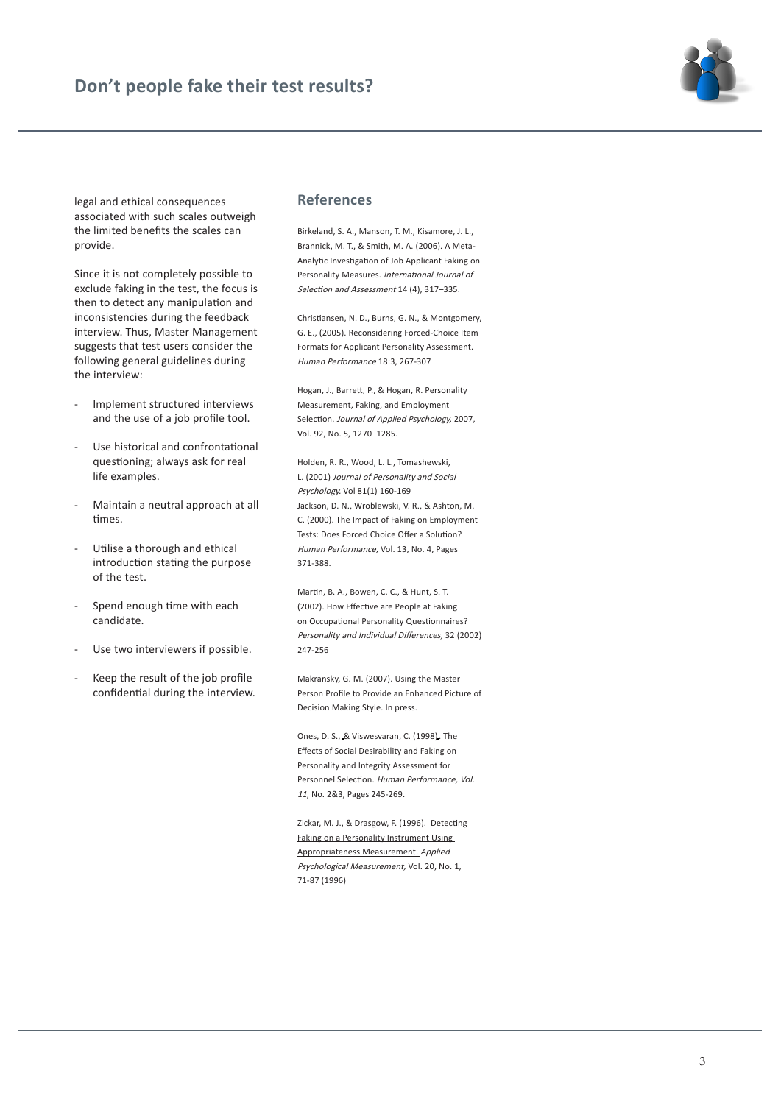

legal and ethical consequences associated with such scales outweigh the limited benefits the scales can provide.

Since it is not completely possible to exclude faking in the test, the focus is then to detect any manipulation and inconsistencies during the feedback interview. Thus, Master Management suggests that test users consider the following general guidelines during the interview:

- Implement structured interviews and the use of a job profile tool.
- Use historical and confrontational questioning; always ask for real life examples.
- Maintain a neutral approach at all times.
- Utilise a thorough and ethical introduction stating the purpose of the test.
- Spend enough time with each candidate.
- Use two interviewers if possible.
- Keep the result of the job profile confidential during the interview.

#### **References**

Birkeland, S. A., Manson, T. M., Kisamore, J. L., Brannick, M. T., & Smith, M. A. (2006). A Meta-Analytic Investigation of Job Applicant Faking on Personality Measures. International Journal of Selection and Assessment 14 (4), 317–335.

Christiansen, N. D., Burns, G. N., & Montgomery, G. E., (2005). Reconsidering Forced-Choice Item Formats for Applicant Personality Assessment. Human Performance 18:3, 267-307

Hogan, J., Barrett, P., & Hogan, R. Personality Measurement, Faking, and Employment Selection. Journal of Applied Psychology, 2007, Vol. 92, No. 5, 1270–1285.

Holden, R. R., Wood, L. L., Tomashewski, L. (2001) Journal of Personality and Social Psychology. Vol 81(1) 160-169 Jackson, D. N., Wroblewski, V. R., & Ashton, M. C. (2000). The Impact of Faking on Employment Tests: Does Forced Choice Offer a Solution? Human Performance, Vol. 13, No. 4, Pages 371-388.

Martin, B. A., Bowen, C. C., & Hunt, S. T. (2002). How Effective are People at Faking on Occupational Personality Questionnaires? Personality and Individual Differences, 32 (2002) 247-256

Makransky, G. M. (2007). Using the Master Person Profile to Provide an Enhanced Picture of Decision Making Style. In press.

Ones, D. S., & Viswesvaran, C. (1998). The Effects of Social Desirability and Faking on Personality and Integrity Assessment for Personnel Selection. Human Performance, Vol. <sup>11</sup>, No. 2&3, Pages 245-269.

Zickar, M. J., & Drasgow, F. (1996). Detecting Faking on a Personality Instrument Using Appropriateness Measurement. Applied Psychological Measurement, Vol. 20, No. 1, 71-87 (1996)